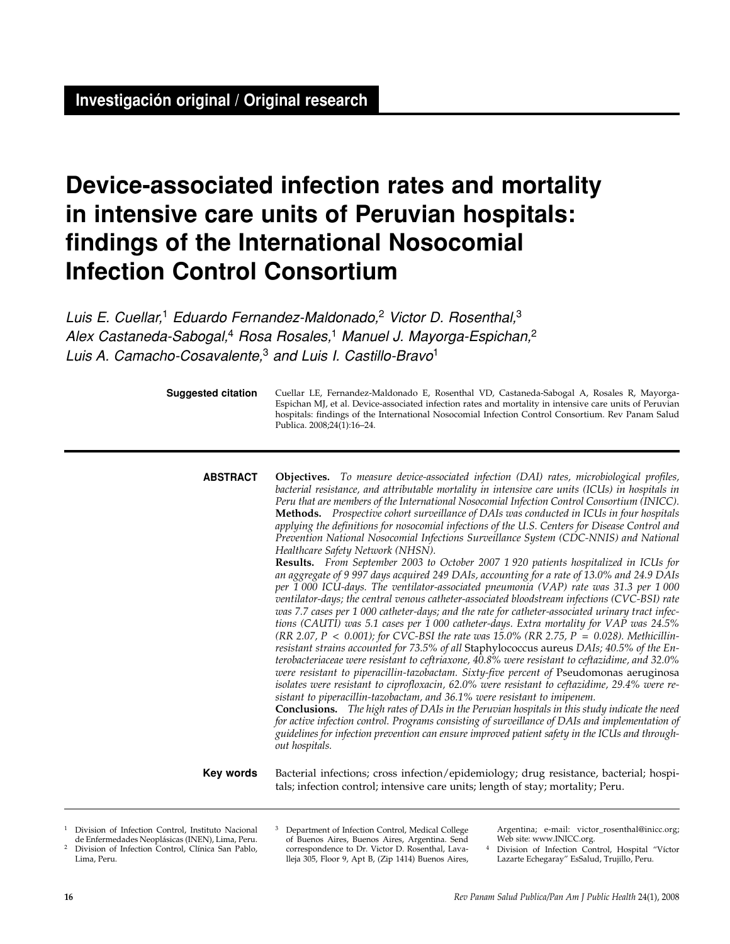# **Device-associated infection rates and mortality in intensive care units of Peruvian hospitals: findings of the International Nosocomial Infection Control Consortium**

Luis E. Cuellar,<sup>1</sup> Eduardo Fernandez-Maldonado,<sup>2</sup> Victor D. Rosenthal,<sup>3</sup> Alex Castaneda-Sabogal,<sup>4</sup> Rosa Rosales,<sup>1</sup> Manuel J. Mayorga-Espichan,<sup>2</sup> Luis A. Camacho-Cosavalente,<sup>3</sup> and Luis I. Castillo-Bravo<sup>1</sup>

**Suggested citation**

Cuellar LE, Fernandez-Maldonado E, Rosenthal VD, Castaneda-Sabogal A, Rosales R, Mayorga-Espichan MJ, et al. Device-associated infection rates and mortality in intensive care units of Peruvian hospitals: findings of the International Nosocomial Infection Control Consortium. Rev Panam Salud Publica. 2008;24(1):16–24.

**Objectives.** *To measure device-associated infection (DAI) rates, microbiological profiles, bacterial resistance, and attributable mortality in intensive care units (ICUs) in hospitals in Peru that are members of the International Nosocomial Infection Control Consortium (INICC).*  **Methods.** *Prospective cohort surveillance of DAIs was conducted in ICUs in four hospitals applying the definitions for nosocomial infections of the U.S. Centers for Disease Control and Prevention National Nosocomial Infections Surveillance System (CDC-NNIS) and National Healthcare Safety Network (NHSN).* **ABSTRACT**

**Results.** *From September 2003 to October 2007 1 920 patients hospitalized in ICUs for an aggregate of 9 997 days acquired 249 DAIs, accounting for a rate of 13.0% and 24.9 DAIs per 1 000 ICU-days. The ventilator-associated pneumonia (VAP) rate was 31.3 per 1 000 ventilator-days; the central venous catheter-associated bloodstream infections (CVC-BSI) rate was 7.7 cases per 1 000 catheter-days; and the rate for catheter-associated urinary tract infections (CAUTI) was 5.1 cases per 1 000 catheter-days. Extra mortality for VAP was 24.5% (RR 2.07, P < 0.001); for CVC-BSI the rate was 15.0% (RR 2.75, P = 0.028). Methicillinresistant strains accounted for 73.5% of all* Staphylococcus aureus *DAIs; 40.5% of the Enterobacteriaceae were resistant to ceftriaxone, 40.8% were resistant to ceftazidime, and 32.0% were resistant to piperacillin-tazobactam. Sixty-five percent of Pseudomonas aeruginosa isolates were resistant to ciprofloxacin, 62.0% were resistant to ceftazidime, 29.4% were resistant to piperacillin-tazobactam, and 36.1% were resistant to imipenem.* 

**Conclusions.** *The high rates of DAIs in the Peruvian hospitals in this study indicate the need for active infection control. Programs consisting of surveillance of DAIs and implementation of guidelines for infection prevention can ensure improved patient safety in the ICUs and throughout hospitals.*

#### **Key words**

Bacterial infections; cross infection/epidemiology; drug resistance, bacterial; hospitals; infection control; intensive care units; length of stay; mortality; Peru.

Argentina; e-mail: victor\_rosenthal@inicc.org; Web site: www.INICC.org.

Division of Infection Control, Hospital "Víctor Lazarte Echegaray" EsSalud, Trujillo, Peru.

Lima, Peru.

Division of Infection Control, Instituto Nacional de Enfermedades Neoplásicas (INEN), Lima, Peru. <sup>2</sup> Division of Infection Control, Clínica San Pablo,

Department of Infection Control, Medical College of Buenos Aires, Buenos Aires, Argentina. Send correspondence to Dr. Victor D. Rosenthal, Lavalleja 305, Floor 9, Apt B, (Zip 1414) Buenos Aires,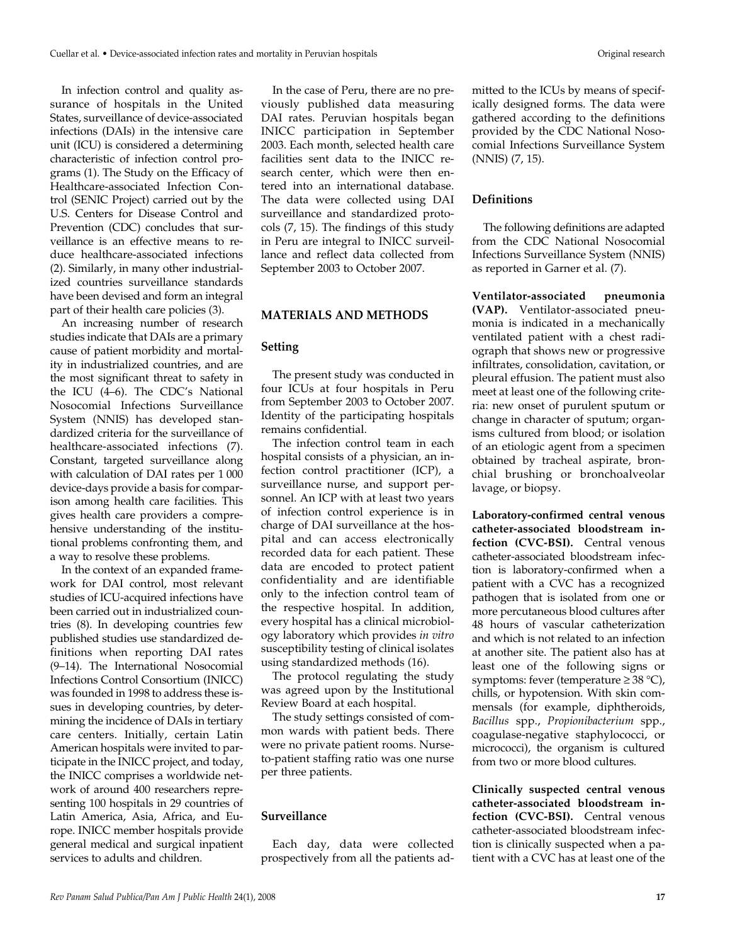In infection control and quality assurance of hospitals in the United States, surveillance of device-associated infections (DAIs) in the intensive care unit (ICU) is considered a determining characteristic of infection control programs (1). The Study on the Efficacy of Healthcare-associated Infection Control (SENIC Project) carried out by the U.S. Centers for Disease Control and Prevention (CDC) concludes that surveillance is an effective means to reduce healthcare-associated infections (2). Similarly, in many other industrialized countries surveillance standards have been devised and form an integral part of their health care policies (3).

An increasing number of research studies indicate that DAIs are a primary cause of patient morbidity and mortality in industrialized countries, and are the most significant threat to safety in the ICU (4–6). The CDC's National Nosocomial Infections Surveillance System (NNIS) has developed standardized criteria for the surveillance of healthcare-associated infections (7). Constant, targeted surveillance along with calculation of DAI rates per 1 000 device-days provide a basis for comparison among health care facilities. This gives health care providers a comprehensive understanding of the institutional problems confronting them, and a way to resolve these problems.

In the context of an expanded framework for DAI control, most relevant studies of ICU-acquired infections have been carried out in industrialized countries (8). In developing countries few published studies use standardized definitions when reporting DAI rates (9–14). The International Nosocomial Infections Control Consortium (INICC) was founded in 1998 to address these issues in developing countries, by determining the incidence of DAIs in tertiary care centers. Initially, certain Latin American hospitals were invited to participate in the INICC project, and today, the INICC comprises a worldwide network of around 400 researchers representing 100 hospitals in 29 countries of Latin America, Asia, Africa, and Europe. INICC member hospitals provide general medical and surgical inpatient services to adults and children.

In the case of Peru, there are no previously published data measuring DAI rates. Peruvian hospitals began INICC participation in September 2003. Each month, selected health care facilities sent data to the INICC research center, which were then entered into an international database. The data were collected using DAI surveillance and standardized protocols (7, 15). The findings of this study in Peru are integral to INICC surveillance and reflect data collected from September 2003 to October 2007.

# **MATERIALS AND METHODS**

## **Setting**

The present study was conducted in four ICUs at four hospitals in Peru from September 2003 to October 2007. Identity of the participating hospitals remains confidential.

The infection control team in each hospital consists of a physician, an infection control practitioner (ICP), a surveillance nurse, and support personnel. An ICP with at least two years of infection control experience is in charge of DAI surveillance at the hospital and can access electronically recorded data for each patient. These data are encoded to protect patient confidentiality and are identifiable only to the infection control team of the respective hospital. In addition, every hospital has a clinical microbiology laboratory which provides *in vitro* susceptibility testing of clinical isolates using standardized methods (16).

The protocol regulating the study was agreed upon by the Institutional Review Board at each hospital.

The study settings consisted of common wards with patient beds. There were no private patient rooms. Nurseto-patient staffing ratio was one nurse per three patients.

## **Surveillance**

Each day, data were collected prospectively from all the patients admitted to the ICUs by means of specifically designed forms. The data were gathered according to the definitions provided by the CDC National Nosocomial Infections Surveillance System (NNIS) (7, 15).

#### **Definitions**

The following definitions are adapted from the CDC National Nosocomial Infections Surveillance System (NNIS) as reported in Garner et al. (7).

**Ventilator-associated pneumonia (VAP).** Ventilator-associated pneumonia is indicated in a mechanically ventilated patient with a chest radiograph that shows new or progressive infiltrates, consolidation, cavitation, or pleural effusion. The patient must also meet at least one of the following criteria: new onset of purulent sputum or change in character of sputum; organisms cultured from blood; or isolation of an etiologic agent from a specimen obtained by tracheal aspirate, bronchial brushing or bronchoalveolar lavage, or biopsy.

**Laboratory-confirmed central venous catheter-associated bloodstream infection (CVC-BSI).** Central venous catheter-associated bloodstream infection is laboratory-confirmed when a patient with a CVC has a recognized pathogen that is isolated from one or more percutaneous blood cultures after 48 hours of vascular catheterization and which is not related to an infection at another site. The patient also has at least one of the following signs or symptoms: fever (temperature  $\geq 38$  °C), chills, or hypotension. With skin commensals (for example, diphtheroids, *Bacillus* spp., *Propionibacterium* spp., coagulase-negative staphylococci, or micrococci), the organism is cultured from two or more blood cultures.

**Clinically suspected central venous catheter-associated bloodstream infection (CVC-BSI).** Central venous catheter-associated bloodstream infection is clinically suspected when a patient with a CVC has at least one of the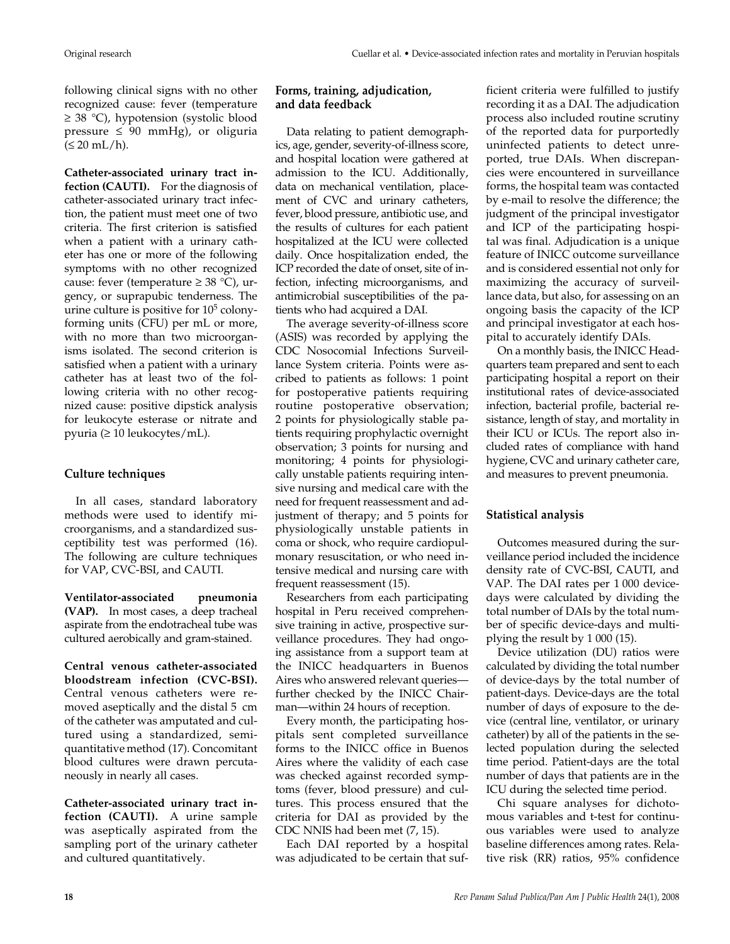following clinical signs with no other recognized cause: fever (temperature ≥ 38 °C), hypotension (systolic blood pressure  $\leq 90$  mmHg), or oliguria  $(\leq 20$  mL/h).

**Catheter-associated urinary tract infection (CAUTI).** For the diagnosis of catheter-associated urinary tract infection, the patient must meet one of two criteria. The first criterion is satisfied when a patient with a urinary catheter has one or more of the following symptoms with no other recognized cause: fever (temperature  $\geq 38$  °C), urgency, or suprapubic tenderness. The urine culture is positive for  $10<sup>5</sup>$  colonyforming units (CFU) per mL or more, with no more than two microorganisms isolated. The second criterion is satisfied when a patient with a urinary catheter has at least two of the following criteria with no other recognized cause: positive dipstick analysis for leukocyte esterase or nitrate and pyuria (≥ 10 leukocytes/mL).

# **Culture techniques**

In all cases, standard laboratory methods were used to identify microorganisms, and a standardized susceptibility test was performed (16). The following are culture techniques for VAP, CVC-BSI, and CAUTI.

**Ventilator-associated pneumonia (VAP).** In most cases, a deep tracheal aspirate from the endotracheal tube was cultured aerobically and gram-stained.

**Central venous catheter-associated bloodstream infection (CVC-BSI).** Central venous catheters were removed aseptically and the distal 5 cm of the catheter was amputated and cultured using a standardized, semiquantitative method (17). Concomitant blood cultures were drawn percutaneously in nearly all cases.

**Catheter-associated urinary tract infection (CAUTI).** A urine sample was aseptically aspirated from the sampling port of the urinary catheter and cultured quantitatively.

## **Forms, training, adjudication, and data feedback**

Data relating to patient demographics, age, gender, severity-of-illness score, and hospital location were gathered at admission to the ICU. Additionally, data on mechanical ventilation, placement of CVC and urinary catheters, fever, blood pressure, antibiotic use, and the results of cultures for each patient hospitalized at the ICU were collected daily. Once hospitalization ended, the ICP recorded the date of onset, site of infection, infecting microorganisms, and antimicrobial susceptibilities of the patients who had acquired a DAI.

The average severity-of-illness score (ASIS) was recorded by applying the CDC Nosocomial Infections Surveillance System criteria. Points were ascribed to patients as follows: 1 point for postoperative patients requiring routine postoperative observation; 2 points for physiologically stable patients requiring prophylactic overnight observation; 3 points for nursing and monitoring; 4 points for physiologically unstable patients requiring intensive nursing and medical care with the need for frequent reassessment and adjustment of therapy; and 5 points for physiologically unstable patients in coma or shock, who require cardiopulmonary resuscitation, or who need intensive medical and nursing care with frequent reassessment (15).

Researchers from each participating hospital in Peru received comprehensive training in active, prospective surveillance procedures. They had ongoing assistance from a support team at the INICC headquarters in Buenos Aires who answered relevant queries further checked by the INICC Chairman—within 24 hours of reception.

Every month, the participating hospitals sent completed surveillance forms to the INICC office in Buenos Aires where the validity of each case was checked against recorded symptoms (fever, blood pressure) and cultures. This process ensured that the criteria for DAI as provided by the CDC NNIS had been met (7, 15).

Each DAI reported by a hospital was adjudicated to be certain that sufficient criteria were fulfilled to justify recording it as a DAI. The adjudication process also included routine scrutiny of the reported data for purportedly uninfected patients to detect unreported, true DAIs. When discrepancies were encountered in surveillance forms, the hospital team was contacted by e-mail to resolve the difference; the judgment of the principal investigator and ICP of the participating hospital was final. Adjudication is a unique feature of INICC outcome surveillance and is considered essential not only for maximizing the accuracy of surveillance data, but also, for assessing on an ongoing basis the capacity of the ICP and principal investigator at each hospital to accurately identify DAIs.

On a monthly basis, the INICC Headquarters team prepared and sent to each participating hospital a report on their institutional rates of device-associated infection, bacterial profile, bacterial resistance, length of stay, and mortality in their ICU or ICUs. The report also included rates of compliance with hand hygiene, CVC and urinary catheter care, and measures to prevent pneumonia.

## **Statistical analysis**

Outcomes measured during the surveillance period included the incidence density rate of CVC-BSI, CAUTI, and VAP. The DAI rates per 1 000 devicedays were calculated by dividing the total number of DAIs by the total number of specific device-days and multiplying the result by 1 000 (15).

Device utilization (DU) ratios were calculated by dividing the total number of device-days by the total number of patient-days. Device-days are the total number of days of exposure to the device (central line, ventilator, or urinary catheter) by all of the patients in the selected population during the selected time period. Patient-days are the total number of days that patients are in the ICU during the selected time period.

Chi square analyses for dichotomous variables and t-test for continuous variables were used to analyze baseline differences among rates. Relative risk (RR) ratios, 95% confidence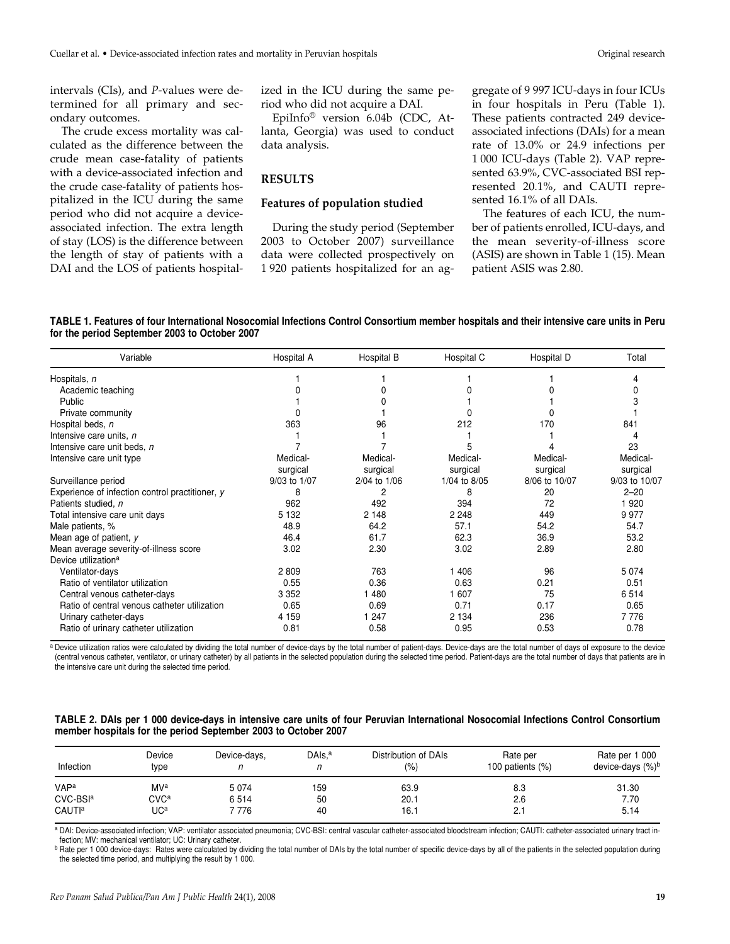intervals (CIs), and *P*-values were determined for all primary and secondary outcomes.

The crude excess mortality was calculated as the difference between the crude mean case-fatality of patients with a device-associated infection and the crude case-fatality of patients hospitalized in the ICU during the same period who did not acquire a deviceassociated infection. The extra length of stay (LOS) is the difference between the length of stay of patients with a DAI and the LOS of patients hospital-

ized in the ICU during the same period who did not acquire a DAI.

EpiInfo® version 6.04b (CDC, Atlanta, Georgia) was used to conduct data analysis.

#### **RESULTS**

## **Features of population studied**

During the study period (September 2003 to October 2007) surveillance data were collected prospectively on 1 920 patients hospitalized for an aggregate of 9 997 ICU-days in four ICUs in four hospitals in Peru (Table 1). These patients contracted 249 deviceassociated infections (DAIs) for a mean rate of 13.0% or 24.9 infections per 1 000 ICU-days (Table 2). VAP represented 63.9%, CVC-associated BSI represented 20.1%, and CAUTI represented 16.1% of all DAIs.

The features of each ICU, the number of patients enrolled, ICU-days, and the mean severity-of-illness score (ASIS) are shown in Table 1 (15). Mean patient ASIS was 2.80.

|  |                                               | TABLE 1. Features of four International Nosocomial Infections Control Consortium member hospitals and their intensive care units in Peru |  |  |  |
|--|-----------------------------------------------|------------------------------------------------------------------------------------------------------------------------------------------|--|--|--|
|  | for the period September 2003 to October 2007 |                                                                                                                                          |  |  |  |

| Variable                                        | Hospital A   | Hospital B   | Hospital C   | Hospital D    | Total         |
|-------------------------------------------------|--------------|--------------|--------------|---------------|---------------|
| Hospitals, n                                    |              |              |              |               |               |
| Academic teaching                               |              |              |              |               |               |
| Public                                          |              |              |              |               |               |
| Private community                               |              |              |              |               |               |
| Hospital beds, n                                | 363          | 96           | 212          | 170           | 841           |
| Intensive care units, n                         |              |              |              |               |               |
| Intensive care unit beds, n                     |              |              |              |               | 23            |
| Intensive care unit type                        | Medical-     | Medical-     | Medical-     | Medical-      | Medical-      |
|                                                 | surgical     | surgical     | surgical     | surgical      | surgical      |
| Surveillance period                             | 9/03 to 1/07 | 2/04 to 1/06 | 1/04 to 8/05 | 8/06 to 10/07 | 9/03 to 10/07 |
| Experience of infection control practitioner, y | 8            | 2            | 8            | 20            | $2 - 20$      |
| Patients studied, n                             | 962          | 492          | 394          | 72            | 920           |
| Total intensive care unit days                  | 5 1 3 2      | 2 1 4 8      | 2 2 4 8      | 449           | 9977          |
| Male patients, %                                | 48.9         | 64.2         | 57.1         | 54.2          | 54.7          |
| Mean age of patient, $\nu$                      | 46.4         | 61.7         | 62.3         | 36.9          | 53.2          |
| Mean average severity-of-illness score          | 3.02         | 2.30         | 3.02         | 2.89          | 2.80          |
| Device utilization <sup>a</sup>                 |              |              |              |               |               |
| Ventilator-days                                 | 2809         | 763          | 1 4 0 6      | 96            | 5074          |
| Ratio of ventilator utilization                 | 0.55         | 0.36         | 0.63         | 0.21          | 0.51          |
| Central venous catheter-days                    | 3 3 5 2      | 1480         | 1 607        | 75            | 6514          |
| Ratio of central venous catheter utilization    | 0.65         | 0.69         | 0.71         | 0.17          | 0.65          |
| Urinary catheter-days                           | 4 1 5 9      | 1 2 4 7      | 2 1 3 4      | 236           | 7776          |
| Ratio of urinary catheter utilization           | 0.81         | 0.58         | 0.95         | 0.53          | 0.78          |

a Device utilization ratios were calculated by dividing the total number of device-days by the total number of patient-days. Device-days are the total number of days of exposure to the device (central venous catheter, ventilator, or urinary catheter) by all patients in the selected population during the selected time period. Patient-days are the total number of days that patients are in the intensive care unit during the selected time period.

#### **TABLE 2. DAIs per 1 000 device-days in intensive care units of four Peruvian International Nosocomial Infections Control Consortium member hospitals for the period September 2003 to October 2007**

| Infection            | Device<br>type | Device-days, | DAIs. <sup>a</sup> | Distribution of DAIs<br>(9/0) | Rate per<br>100 patients $(\%)$ | Rate per 1 000<br>device-days $(\%)^b$ |
|----------------------|----------------|--------------|--------------------|-------------------------------|---------------------------------|----------------------------------------|
| VAPa                 | MVa            | 5 0 7 4      | 159                | 63.9                          | 8.3                             | 31.30                                  |
| CVC-BSI <sup>a</sup> | <b>CVCa</b>    | 6514         | 50                 | 20.1                          | 2.6                             | 7.70                                   |
| CAUTI <sup>a</sup>   | UCª            | 776          | 40                 | 16.1                          | 2.1                             | 5.14                                   |

a DAI: Device-associated infection; VAP: ventilator associated pneumonia; CVC-BSI: central vascular catheter-associated bloodstream infection; CAUTI: catheter-associated urinary tract infection; MV: mechanical ventilator; UC: Urinary catheter.

<sup>b</sup> Rate per 1 000 device-days: Rates were calculated by dividing the total number of DAIs by the total number of specific device-days by all of the patients in the selected population during the selected time period, and multiplying the result by 1 000.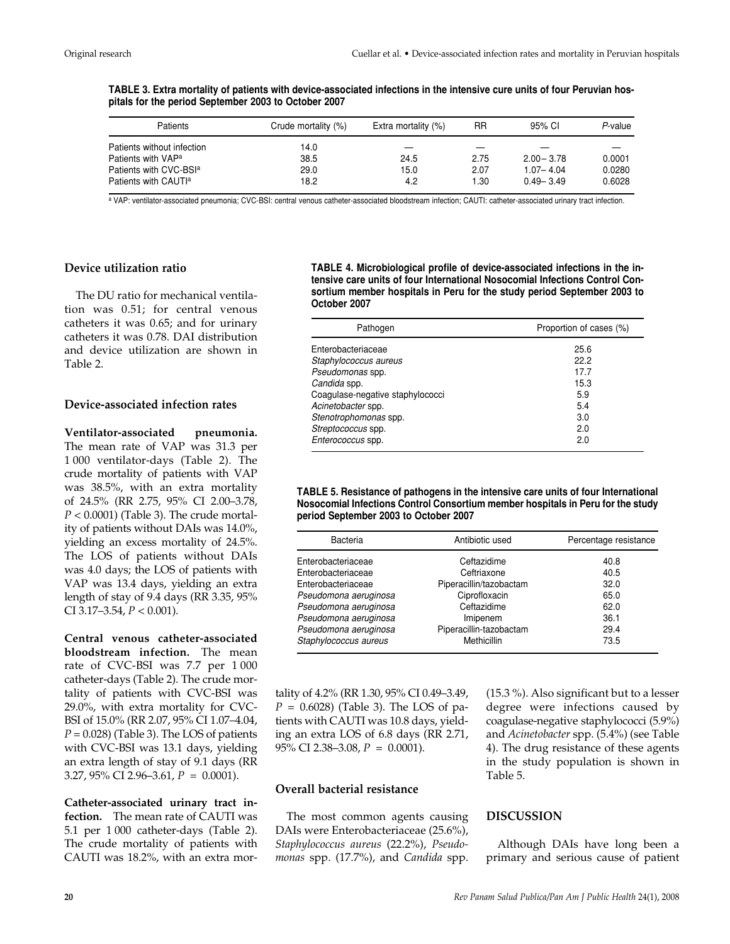**TABLE 3. Extra mortality of patients with device-associated infections in the intensive cure units of four Peruvian hospitals for the period September 2003 to October 2007** 

| Patients                           | Crude mortality (%) | Extra mortality (%) | RR   | 95% CI        | P-value |
|------------------------------------|---------------------|---------------------|------|---------------|---------|
| Patients without infection         | 14.0                |                     |      |               |         |
| Patients with VAP <sup>a</sup>     | 38.5                | 24.5                | 2.75 | $2.00 - 3.78$ | 0.0001  |
| Patients with CVC-BSI <sup>a</sup> | 29.0                | 15.0                | 2.07 | $1.07 - 4.04$ | 0.0280  |
| Patients with CAUT <sup>a</sup>    | 18.2                | 4.2                 | 1.30 | $0.49 - 3.49$ | 0.6028  |

a VAP: ventilator-associated pneumonia; CVC-BSI: central venous catheter-associated bloodstream infection; CAUTI: catheter-associated urinary tract infection.

### **Device utilization ratio**

The DU ratio for mechanical ventilation was 0.51; for central venous catheters it was 0.65; and for urinary catheters it was 0.78. DAI distribution and device utilization are shown in Table 2.

#### **Device-associated infection rates**

**Ventilator-associated pneumonia.** The mean rate of VAP was 31.3 per 1 000 ventilator-days (Table 2). The crude mortality of patients with VAP was 38.5%, with an extra mortality of 24.5% (RR 2.75, 95% CI 2.00–3.78, *P* < 0.0001) (Table 3). The crude mortality of patients without DAIs was 14.0%, yielding an excess mortality of 24.5%. The LOS of patients without DAIs was 4.0 days; the LOS of patients with VAP was 13.4 days, yielding an extra length of stay of 9.4 days (RR 3.35, 95% CI 3.17–3.54, *P* < 0.001).

**Central venous catheter-associated bloodstream infection.** The mean rate of CVC-BSI was 7.7 per 1 000 catheter-days (Table 2). The crude mortality of patients with CVC-BSI was 29.0%, with extra mortality for CVC-BSI of 15.0% (RR 2.07, 95% CI 1.07–4.04,  $P = 0.028$ ) (Table 3). The LOS of patients with CVC-BSI was 13.1 days, yielding an extra length of stay of 9.1 days (RR 3.27, 95% CI 2.96–3.61, *P* = 0.0001).

**Catheter-associated urinary tract infection.** The mean rate of CAUTI was 5.1 per 1 000 catheter-days (Table 2). The crude mortality of patients with CAUTI was 18.2%, with an extra mor**TABLE 4. Microbiological profile of device-associated infections in the intensive care units of four International Nosocomial Infections Control Consortium member hospitals in Peru for the study period September 2003 to October 2007** 

| Pathogen                         | Proportion of cases (%) |
|----------------------------------|-------------------------|
| Enterobacteriaceae               | 25.6                    |
| Staphylococcus aureus            | 22.2                    |
| Pseudomonas spp.                 | 17.7                    |
| Candida spp.                     | 15.3                    |
| Coagulase-negative staphylococci | 5.9                     |
| Acinetobacter spp.               | 5.4                     |
| Stenotrophomonas spp.            | 3.0                     |
| Streptococcus spp.               | 2.0                     |
| Enterococcus spp.                | 2.0                     |

**TABLE 5. Resistance of pathogens in the intensive care units of four International Nosocomial Infections Control Consortium member hospitals in Peru for the study period September 2003 to October 2007** 

| <b>Bacteria</b>       | Antibiotic used         | Percentage resistance |
|-----------------------|-------------------------|-----------------------|
| Enterobacteriaceae    | Ceftazidime             | 40.8                  |
| Enterobacteriaceae    | Ceftriaxone             | 40.5                  |
| Enterobacteriaceae    | Piperacillin/tazobactam | 32.0                  |
| Pseudomona aeruginosa | Ciprofloxacin           | 65.0                  |
| Pseudomona aeruginosa | Ceftazidime             | 62.0                  |
| Pseudomona aeruginosa | Imipenem                | 36.1                  |
| Pseudomona aeruginosa | Piperacillin-tazobactam | 29.4                  |
| Staphylococcus aureus | Methicillin             | 73.5                  |

tality of 4.2% (RR 1.30, 95% CI 0.49–3.49, *P* = 0.6028) (Table 3). The LOS of patients with CAUTI was 10.8 days, yielding an extra LOS of 6.8 days (RR 2.71, 95% CI 2.38–3.08, *P* = 0.0001).

# **Overall bacterial resistance**

The most common agents causing DAIs were Enterobacteriaceae (25.6%), *Staphylococcus aureus* (22.2%), *Pseudomonas* spp. (17.7%), and *Candida* spp. (15.3 %). Also significant but to a lesser degree were infections caused by coagulase-negative staphylococci (5.9%) and *Acinetobacter* spp. (5.4%) (see Table 4). The drug resistance of these agents in the study population is shown in Table 5.

## **DISCUSSION**

Although DAIs have long been a primary and serious cause of patient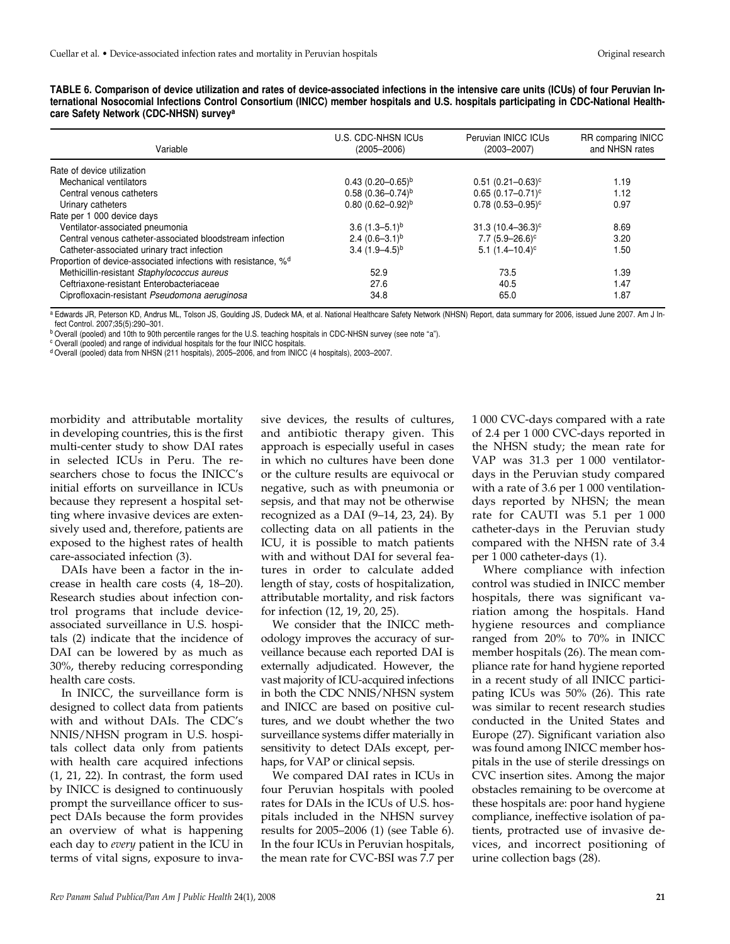|  |                                                    | TABLE 6. Comparison of device utilization and rates of device-associated infections in the intensive care units (ICUs) of four Peruvian In- |  |  |  |  |  |
|--|----------------------------------------------------|---------------------------------------------------------------------------------------------------------------------------------------------|--|--|--|--|--|
|  |                                                    | ternational Nosocomial Infections Control Consortium (INICC) member hospitals and U.S. hospitals participating in CDC-National Health-      |  |  |  |  |  |
|  | care Safety Network (CDC-NHSN) survey <sup>a</sup> |                                                                                                                                             |  |  |  |  |  |

| Variable                                                                   | U.S. CDC-NHSN ICUs<br>$(2005 - 2006)$ | Peruvian INICC ICUs<br>$(2003 - 2007)$ | <b>RR</b> comparing INICC<br>and NHSN rates |
|----------------------------------------------------------------------------|---------------------------------------|----------------------------------------|---------------------------------------------|
| Rate of device utilization                                                 |                                       |                                        |                                             |
| Mechanical ventilators                                                     | $0.43(0.20-0.65)^{b}$                 | $0.51(0.21 - 0.63)^c$                  | 1.19                                        |
| Central venous catheters                                                   | $0.58(0.36 - 0.74)^b$                 | $0.65(0.17-0.71)^c$                    | 1.12                                        |
| Urinary catheters                                                          | $0.80(0.62 - 0.92)^b$                 | $0.78(0.53 - 0.95)^c$                  | 0.97                                        |
| Rate per 1 000 device days                                                 |                                       |                                        |                                             |
| Ventilator-associated pneumonia                                            | $3.6(1.3 - 5.1)^b$                    | $31.3(10.4 - 36.3)^c$                  | 8.69                                        |
| Central venous catheter-associated bloodstream infection                   | 2.4 $(0.6-3.1)^{b}$                   | $7.7(5.9 - 26.6)^c$                    | 3.20                                        |
| Catheter-associated urinary tract infection                                | $3.4(1.9-4.5)^{b}$                    | $5.1(1.4-10.4)^c$                      | 1.50                                        |
| Proportion of device-associated infections with resistance, % <sup>d</sup> |                                       |                                        |                                             |
| Methicillin-resistant Staphylococcus aureus                                | 52.9                                  | 73.5                                   | 1.39                                        |
| Ceftriaxone-resistant Enterobacteriaceae                                   | 27.6                                  | 40.5                                   | 1.47                                        |
| Ciprofloxacin-resistant Pseudomona aeruginosa                              | 34.8                                  | 65.0                                   | 1.87                                        |

a Edwards JR, Peterson KD, Andrus ML, Tolson JS, Goulding JS, Dudeck MA, et al. National Healthcare Safety Network (NHSN) Report, data summary for 2006, issued June 2007. Am J Infect Control. 2007;35(5):290–301.

b Overall (pooled) and 10th to 90th percentile ranges for the U.S. teaching hospitals in CDC-NHSN survey (see note "a").

<sup>c</sup> Overall (pooled) and range of individual hospitals for the four INICC hospitals.

d Overall (pooled) data from NHSN (211 hospitals), 2005–2006, and from INICC (4 hospitals), 2003–2007.

morbidity and attributable mortality in developing countries, this is the first multi-center study to show DAI rates in selected ICUs in Peru. The researchers chose to focus the INICC's initial efforts on surveillance in ICUs because they represent a hospital setting where invasive devices are extensively used and, therefore, patients are exposed to the highest rates of health care-associated infection (3).

DAIs have been a factor in the increase in health care costs (4, 18–20). Research studies about infection control programs that include deviceassociated surveillance in U.S. hospitals (2) indicate that the incidence of DAI can be lowered by as much as 30%, thereby reducing corresponding health care costs.

In INICC, the surveillance form is designed to collect data from patients with and without DAIs. The CDC's NNIS/NHSN program in U.S. hospitals collect data only from patients with health care acquired infections (1, 21, 22). In contrast, the form used by INICC is designed to continuously prompt the surveillance officer to suspect DAIs because the form provides an overview of what is happening each day to *every* patient in the ICU in terms of vital signs, exposure to invasive devices, the results of cultures, and antibiotic therapy given. This approach is especially useful in cases in which no cultures have been done or the culture results are equivocal or negative, such as with pneumonia or sepsis, and that may not be otherwise recognized as a DAI (9–14, 23, 24). By collecting data on all patients in the ICU, it is possible to match patients with and without DAI for several features in order to calculate added length of stay, costs of hospitalization, attributable mortality, and risk factors for infection (12, 19, 20, 25).

We consider that the INICC methodology improves the accuracy of surveillance because each reported DAI is externally adjudicated. However, the vast majority of ICU-acquired infections in both the CDC NNIS/NHSN system and INICC are based on positive cultures, and we doubt whether the two surveillance systems differ materially in sensitivity to detect DAIs except, perhaps, for VAP or clinical sepsis.

We compared DAI rates in ICUs in four Peruvian hospitals with pooled rates for DAIs in the ICUs of U.S. hospitals included in the NHSN survey results for 2005–2006 (1) (see Table 6). In the four ICUs in Peruvian hospitals, the mean rate for CVC-BSI was 7.7 per 1 000 CVC-days compared with a rate of 2.4 per 1 000 CVC-days reported in the NHSN study; the mean rate for VAP was 31.3 per 1 000 ventilatordays in the Peruvian study compared with a rate of 3.6 per 1 000 ventilationdays reported by NHSN; the mean rate for CAUTI was 5.1 per 1 000 catheter-days in the Peruvian study compared with the NHSN rate of 3.4 per 1 000 catheter-days (1).

Where compliance with infection control was studied in INICC member hospitals, there was significant variation among the hospitals. Hand hygiene resources and compliance ranged from 20% to 70% in INICC member hospitals (26). The mean compliance rate for hand hygiene reported in a recent study of all INICC participating ICUs was 50% (26). This rate was similar to recent research studies conducted in the United States and Europe (27). Significant variation also was found among INICC member hospitals in the use of sterile dressings on CVC insertion sites. Among the major obstacles remaining to be overcome at these hospitals are: poor hand hygiene compliance, ineffective isolation of patients, protracted use of invasive devices, and incorrect positioning of urine collection bags (28).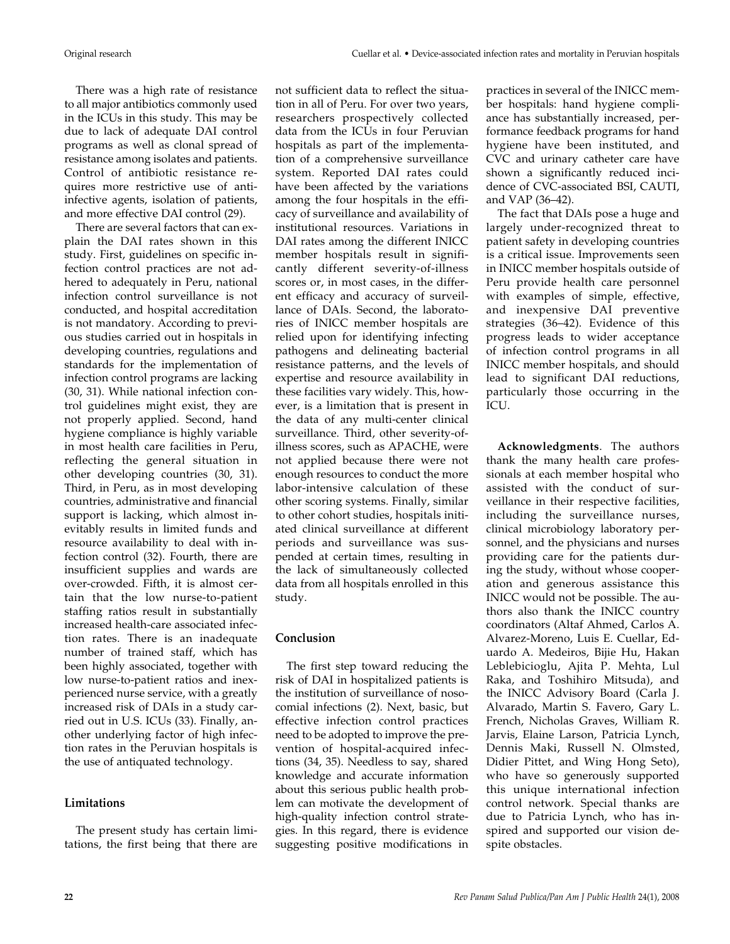There was a high rate of resistance to all major antibiotics commonly used in the ICUs in this study. This may be due to lack of adequate DAI control programs as well as clonal spread of resistance among isolates and patients. Control of antibiotic resistance requires more restrictive use of antiinfective agents, isolation of patients, and more effective DAI control (29).

There are several factors that can explain the DAI rates shown in this study. First, guidelines on specific infection control practices are not adhered to adequately in Peru, national infection control surveillance is not conducted, and hospital accreditation is not mandatory. According to previous studies carried out in hospitals in developing countries, regulations and standards for the implementation of infection control programs are lacking (30, 31). While national infection control guidelines might exist, they are not properly applied. Second, hand hygiene compliance is highly variable in most health care facilities in Peru, reflecting the general situation in other developing countries (30, 31). Third, in Peru, as in most developing countries, administrative and financial support is lacking, which almost inevitably results in limited funds and resource availability to deal with infection control (32). Fourth, there are insufficient supplies and wards are over-crowded. Fifth, it is almost certain that the low nurse-to-patient staffing ratios result in substantially increased health-care associated infection rates. There is an inadequate number of trained staff, which has been highly associated, together with low nurse-to-patient ratios and inexperienced nurse service, with a greatly increased risk of DAIs in a study carried out in U.S. ICUs (33). Finally, another underlying factor of high infection rates in the Peruvian hospitals is the use of antiquated technology.

# **Limitations**

The present study has certain limitations, the first being that there are not sufficient data to reflect the situation in all of Peru. For over two years, researchers prospectively collected data from the ICUs in four Peruvian hospitals as part of the implementation of a comprehensive surveillance system. Reported DAI rates could have been affected by the variations among the four hospitals in the efficacy of surveillance and availability of institutional resources. Variations in DAI rates among the different INICC member hospitals result in significantly different severity-of-illness scores or, in most cases, in the different efficacy and accuracy of surveillance of DAIs. Second, the laboratories of INICC member hospitals are relied upon for identifying infecting pathogens and delineating bacterial resistance patterns, and the levels of expertise and resource availability in these facilities vary widely. This, however, is a limitation that is present in the data of any multi-center clinical surveillance. Third, other severity-ofillness scores, such as APACHE, were not applied because there were not enough resources to conduct the more labor-intensive calculation of these other scoring systems. Finally, similar to other cohort studies, hospitals initiated clinical surveillance at different periods and surveillance was suspended at certain times, resulting in the lack of simultaneously collected data from all hospitals enrolled in this study.

# **Conclusion**

The first step toward reducing the risk of DAI in hospitalized patients is the institution of surveillance of nosocomial infections (2). Next, basic, but effective infection control practices need to be adopted to improve the prevention of hospital-acquired infections (34, 35). Needless to say, shared knowledge and accurate information about this serious public health problem can motivate the development of high-quality infection control strategies. In this regard, there is evidence suggesting positive modifications in

practices in several of the INICC member hospitals: hand hygiene compliance has substantially increased, performance feedback programs for hand hygiene have been instituted, and CVC and urinary catheter care have shown a significantly reduced incidence of CVC-associated BSI, CAUTI, and VAP (36–42).

The fact that DAIs pose a huge and largely under-recognized threat to patient safety in developing countries is a critical issue. Improvements seen in INICC member hospitals outside of Peru provide health care personnel with examples of simple, effective, and inexpensive DAI preventive strategies (36–42). Evidence of this progress leads to wider acceptance of infection control programs in all INICC member hospitals, and should lead to significant DAI reductions, particularly those occurring in the ICU.

**Acknowledgments**. The authors thank the many health care professionals at each member hospital who assisted with the conduct of surveillance in their respective facilities, including the surveillance nurses, clinical microbiology laboratory personnel, and the physicians and nurses providing care for the patients during the study, without whose cooperation and generous assistance this INICC would not be possible. The authors also thank the INICC country coordinators (Altaf Ahmed, Carlos A. Alvarez-Moreno, Luis E. Cuellar, Eduardo A. Medeiros, Bijie Hu, Hakan Leblebicioglu, Ajita P. Mehta, Lul Raka, and Toshihiro Mitsuda), and the INICC Advisory Board (Carla J. Alvarado, Martin S. Favero, Gary L. French, Nicholas Graves, William R. Jarvis, Elaine Larson, Patricia Lynch, Dennis Maki, Russell N. Olmsted, Didier Pittet, and Wing Hong Seto), who have so generously supported this unique international infection control network. Special thanks are due to Patricia Lynch, who has inspired and supported our vision despite obstacles.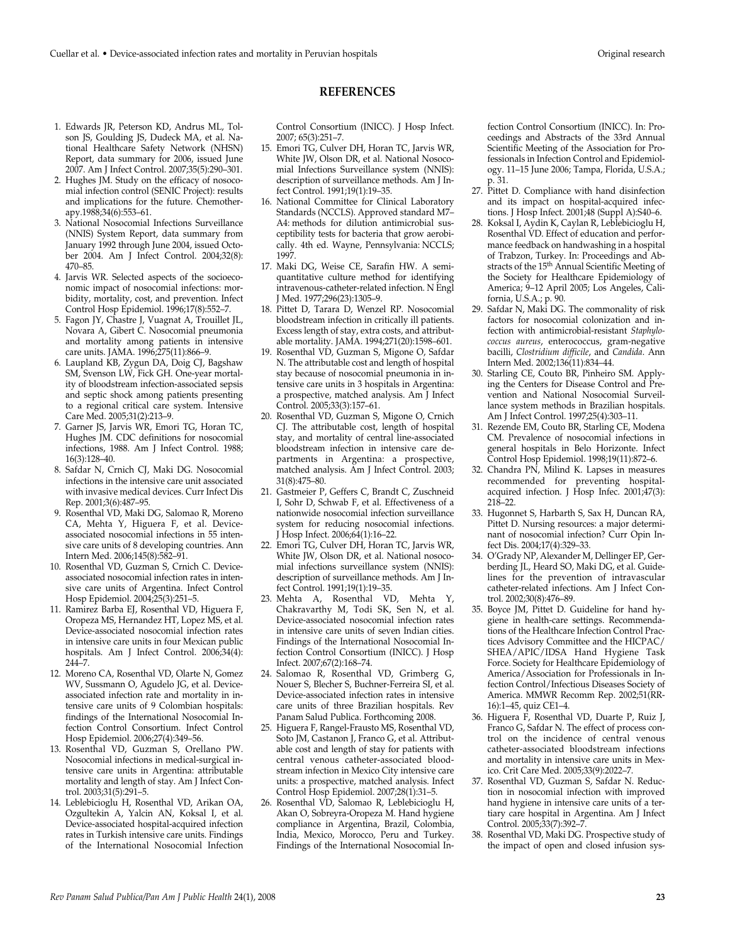## **REFERENCES**

- 1. Edwards JR, Peterson KD, Andrus ML, Tolson JS, Goulding JS, Dudeck MA, et al. National Healthcare Safety Network (NHSN) Report, data summary for 2006, issued June 2007. Am J Infect Control. 2007;35(5):290–301.
- 2. Hughes JM. Study on the efficacy of nosocomial infection control (SENIC Project): results and implications for the future. Chemotherapy.1988;34(6):553–61.
- 3. National Nosocomial Infections Surveillance (NNIS) System Report, data summary from January 1992 through June 2004, issued October 2004. Am J Infect Control. 2004;32(8): 470–85.
- 4. Jarvis WR. Selected aspects of the socioeconomic impact of nosocomial infections: morbidity, mortality, cost, and prevention. Infect Control Hosp Epidemiol. 1996;17(8):552–7.
- 5. Fagon JY, Chastre J, Vuagnat A, Trouillet JL, Novara A, Gibert C. Nosocomial pneumonia and mortality among patients in intensive care units. JAMA. 1996;275(11):866–9.
- 6. Laupland KB, Zygun DA, Doig CJ, Bagshaw SM, Svenson LW, Fick GH. One-year mortality of bloodstream infection-associated sepsis and septic shock among patients presenting to a regional critical care system. Intensive Care Med. 2005;31(2):213–9.
- 7. Garner JS, Jarvis WR, Emori TG, Horan TC, Hughes JM. CDC definitions for nosocomial infections, 1988. Am J Infect Control. 1988; 16(3):128–40.
- 8. Safdar N, Crnich CJ, Maki DG. Nosocomial infections in the intensive care unit associated with invasive medical devices. Curr Infect Dis Rep. 2001;3(6):487–95.
- 9. Rosenthal VD, Maki DG, Salomao R, Moreno CA, Mehta Y, Higuera F, et al. Deviceassociated nosocomial infections in 55 intensive care units of 8 developing countries. Ann Intern Med. 2006;145(8):582–91.
- 10. Rosenthal VD, Guzman S, Crnich C. Deviceassociated nosocomial infection rates in intensive care units of Argentina. Infect Control Hosp Epidemiol. 2004;25(3):251–5.
- 11. Ramirez Barba EJ, Rosenthal VD, Higuera F, Oropeza MS, Hernandez HT, Lopez MS, et al. Device-associated nosocomial infection rates in intensive care units in four Mexican public hospitals. Am J Infect Control. 2006;34(4): 244–7.
- 12. Moreno CA, Rosenthal VD, Olarte N, Gomez WV, Sussmann O, Agudelo JG, et al. Deviceassociated infection rate and mortality in intensive care units of 9 Colombian hospitals: findings of the International Nosocomial Infection Control Consortium. Infect Control Hosp Epidemiol. 2006;27(4):349–56.
- 13. Rosenthal VD, Guzman S, Orellano PW. Nosocomial infections in medical-surgical intensive care units in Argentina: attributable mortality and length of stay. Am J Infect Control. 2003;31(5):291–5.
- 14. Leblebicioglu H, Rosenthal VD, Arikan OA, Ozgultekin A, Yalcin AN, Koksal I, et al. Device-associated hospital-acquired infection rates in Turkish intensive care units. Findings of the International Nosocomial Infection

Control Consortium (INICC). J Hosp Infect. 2007; 65(3):251–7.

- 15. Emori TG, Culver DH, Horan TC, Jarvis WR, White JW, Olson DR, et al. National Nosocomial Infections Surveillance system (NNIS): description of surveillance methods. Am J Infect Control. 1991;19(1):19–35.
- 16. National Committee for Clinical Laboratory Standards (NCCLS). Approved standard M7– A4: methods for dilution antimicrobial susceptibility tests for bacteria that grow aerobically. 4th ed. Wayne, Pennsylvania: NCCLS; 1997.
- 17. Maki DG, Weise CE, Sarafin HW. A semiquantitative culture method for identifying intravenous-catheter-related infection. N Engl J Med. 1977;296(23):1305–9.
- 18. Pittet D, Tarara D, Wenzel RP. Nosocomial bloodstream infection in critically ill patients. Excess length of stay, extra costs, and attributable mortality. JAMA. 1994;271(20):1598–601.
- 19. Rosenthal VD, Guzman S, Migone O, Safdar N. The attributable cost and length of hospital stay because of nosocomial pneumonia in intensive care units in 3 hospitals in Argentina: a prospective, matched analysis. Am J Infect Control. 2005;33(3):157–61.
- 20. Rosenthal VD, Guzman S, Migone O, Crnich CJ. The attributable cost, length of hospital stay, and mortality of central line-associated bloodstream infection in intensive care departments in Argentina: a prospective, matched analysis. Am J Infect Control. 2003; 31(8):475–80.
- 21. Gastmeier P, Geffers C, Brandt C, Zuschneid I, Sohr D, Schwab F, et al. Effectiveness of a nationwide nosocomial infection surveillance system for reducing nosocomial infections. J Hosp Infect. 2006;64(1):16–22.
- 22. Emori TG, Culver DH, Horan TC, Jarvis WR, White JW, Olson DR, et al. National nosocomial infections surveillance system (NNIS): description of surveillance methods. Am J Infect Control. 1991;19(1):19–35.
- 23. Mehta A, Rosenthal VD, Mehta Y, Chakravarthy M, Todi SK, Sen N, et al. Device-associated nosocomial infection rates in intensive care units of seven Indian cities. Findings of the International Nosocomial Infection Control Consortium (INICC). J Hosp Infect. 2007;67(2):168–74.
- 24. Salomao R, Rosenthal VD, Grimberg G, Nouer S, Blecher S, Buchner-Ferreira SI, et al. Device-associated infection rates in intensive care units of three Brazilian hospitals. Rev Panam Salud Publica. Forthcoming 2008.
- 25. Higuera F, Rangel-Frausto MS, Rosenthal VD, Soto JM, Castanon J, Franco G, et al. Attributable cost and length of stay for patients with central venous catheter-associated bloodstream infection in Mexico City intensive care units: a prospective, matched analysis. Infect Control Hosp Epidemiol. 2007;28(1):31–5.
- 26. Rosenthal VD, Salomao R, Leblebicioglu H, Akan O, Sobreyra-Oropeza M. Hand hygiene compliance in Argentina, Brazil, Colombia, India, Mexico, Morocco, Peru and Turkey. Findings of the International Nosocomial In-

fection Control Consortium (INICC). In: Proceedings and Abstracts of the 33rd Annual Scientific Meeting of the Association for Professionals in Infection Control and Epidemiology. 11–15 June 2006; Tampa, Florida, U.S.A.; p. 31.

- 27. Pittet D. Compliance with hand disinfection and its impact on hospital-acquired infections. J Hosp Infect. 2001;48 (Suppl A):S40–6.
- 28. Koksal I, Aydin K, Caylan R, Leblebicioglu H, Rosenthal VD. Effect of education and performance feedback on handwashing in a hospital of Trabzon, Turkey. In: Proceedings and Abstracts of the 15<sup>th</sup> Annual Scientific Meeting of the Society for Healthcare Epidemiology of America; 9–12 April 2005; Los Angeles, California, U.S.A.; p. 90.
- 29. Safdar N, Maki DG. The commonality of risk factors for nosocomial colonization and infection with antimicrobial-resistant *Staphylococcus aureus*, enterococcus, gram-negative bacilli, *Clostridium difficile*, and *Candida*. Ann Intern Med. 2002;136(11):834–44.
- 30. Starling CE, Couto BR, Pinheiro SM. Applying the Centers for Disease Control and Prevention and National Nosocomial Surveillance system methods in Brazilian hospitals. Am J Infect Control. 1997;25(4):303–11.
- 31. Rezende EM, Couto BR, Starling CE, Modena CM. Prevalence of nosocomial infections in general hospitals in Belo Horizonte. Infect Control Hosp Epidemiol. 1998;19(11):872–6.
- 32. Chandra PN, Milind K. Lapses in measures recommended for preventing hospitalacquired infection. J Hosp Infec. 2001;47(3): 218–22.
- 33. Hugonnet S, Harbarth S, Sax H, Duncan RA, Pittet D. Nursing resources: a major determinant of nosocomial infection? Curr Opin Infect Dis. 2004;17(4):329–33.
- 34. O'Grady NP, Alexander M, Dellinger EP, Gerberding JL, Heard SO, Maki DG, et al. Guidelines for the prevention of intravascular catheter-related infections. Am J Infect Control. 2002;30(8):476–89.
- 35. Boyce JM, Pittet D. Guideline for hand hygiene in health-care settings. Recommendations of the Healthcare Infection Control Practices Advisory Committee and the HICPAC/ SHEA/APIC/IDSA Hand Hygiene Task Force. Society for Healthcare Epidemiology of America/Association for Professionals in Infection Control/Infectious Diseases Society of America. MMWR Recomm Rep. 2002;51(RR-16):1–45, quiz CE1–4.
- 36. Higuera F, Rosenthal VD, Duarte P, Ruiz J, Franco G, Safdar N. The effect of process control on the incidence of central venous catheter-associated bloodstream infections and mortality in intensive care units in Mexico. Crit Care Med. 2005;33(9):2022–7.
- 37. Rosenthal VD, Guzman S, Safdar N. Reduction in nosocomial infection with improved hand hygiene in intensive care units of a tertiary care hospital in Argentina. Am J Infect Control. 2005;33(7):392–7.
- 38. Rosenthal VD, Maki DG. Prospective study of the impact of open and closed infusion sys-